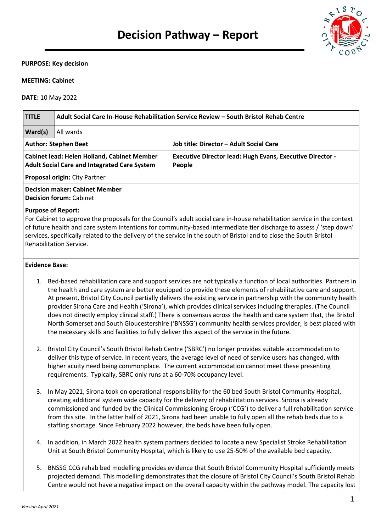

#### **PURPOSE: Key decision**

#### **MEETING: Cabinet**

**DATE:** 10 May 2022

| <b>TITLE</b>                                                                                                                                                                                                                                                                                                                                                                                                                          | Adult Social Care In-House Rehabilitation Service Review – South Bristol Rehab Centre |                                                                            |  |  |  |
|---------------------------------------------------------------------------------------------------------------------------------------------------------------------------------------------------------------------------------------------------------------------------------------------------------------------------------------------------------------------------------------------------------------------------------------|---------------------------------------------------------------------------------------|----------------------------------------------------------------------------|--|--|--|
| <b>Ward(s)</b>                                                                                                                                                                                                                                                                                                                                                                                                                        | All wards                                                                             |                                                                            |  |  |  |
| <b>Author: Stephen Beet</b>                                                                                                                                                                                                                                                                                                                                                                                                           |                                                                                       | Job title: Director - Adult Social Care                                    |  |  |  |
| <b>Cabinet lead: Helen Holland, Cabinet Member</b><br><b>Adult Social Care and Integrated Care System</b>                                                                                                                                                                                                                                                                                                                             |                                                                                       | <b>Executive Director lead: Hugh Evans, Executive Director -</b><br>People |  |  |  |
| <b>Proposal origin: City Partner</b>                                                                                                                                                                                                                                                                                                                                                                                                  |                                                                                       |                                                                            |  |  |  |
| <b>Decision maker: Cabinet Member</b><br><b>Decision forum: Cabinet</b>                                                                                                                                                                                                                                                                                                                                                               |                                                                                       |                                                                            |  |  |  |
| <b>Purpose of Report:</b><br>For Cabinet to approve the proposals for the Council's adult social care in-house rehabilitation service in the context<br>of future health and care system intentions for community-based intermediate tier discharge to assess / 'step down'<br>services, specifically related to the delivery of the service in the south of Bristol and to close the South Bristol<br><b>Rehabilitation Service.</b> |                                                                                       |                                                                            |  |  |  |
| Evidence Base:                                                                                                                                                                                                                                                                                                                                                                                                                        |                                                                                       |                                                                            |  |  |  |

- 1. Bed-based rehabilitation care and support services are not typically a function of local authorities. Partners in the health and care system are better equipped to provide these elements of rehabilitative care and support. At present, Bristol City Council partially delivers the existing service in partnership with the community health provider Sirona Care and Health ('Sirona'), which provides clinical services including therapies. (The Council does not directly employ clinical staff.) There is consensus across the health and care system that, the Bristol North Somerset and South Gloucestershire ('BNSSG') community health services provider, is best placed with the necessary skills and facilities to fully deliver this aspect of the service in the future.
- 2. Bristol City Council's South Bristol Rehab Centre ('SBRC') no longer provides suitable accommodation to deliver this type of service. In recent years, the average level of need of service users has changed, with higher acuity need being commonplace. The current accommodation cannot meet these presenting requirements. Typically, SBRC only runs at a 60-70% occupancy level.
- 3. In May 2021, Sirona took on operational responsibility for the 60 bed South Bristol Community Hospital, creating additional system wide capacity for the delivery of rehabilitation services. Sirona is already commissioned and funded by the Clinical Commissioning Group ('CCG') to deliver a full rehabilitation service from this site. In the latter half of 2021, Sirona had been unable to fully open all the rehab beds due to a staffing shortage. Since February 2022 however, the beds have been fully open.
- 4. In addition, in March 2022 health system partners decided to locate a new Specialist Stroke Rehabilitation Unit at South Bristol Community Hospital, which is likely to use 25-50% of the available bed capacity.
- 5. BNSSG CCG rehab bed modelling provides evidence that South Bristol Community Hospital sufficiently meets projected demand. This modelling demonstrates that the closure of Bristol City Council's South Bristol Rehab Centre would not have a negative impact on the overall capacity within the pathway model. The capacity lost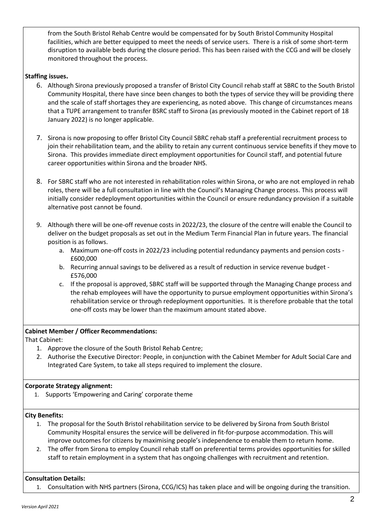from the South Bristol Rehab Centre would be compensated for by South Bristol Community Hospital facilities, which are better equipped to meet the needs of service users. There is a risk of some short-term disruption to available beds during the closure period. This has been raised with the CCG and will be closely monitored throughout the process.

# **Staffing issues.**

- 6. Although Sirona previously proposed a transfer of Bristol City Council rehab staff at SBRC to the South Bristol Community Hospital, there have since been changes to both the types of service they will be providing there and the scale of staff shortages they are experiencing, as noted above. This change of circumstances means that a TUPE arrangement to transfer BSRC staff to Sirona (as previously mooted in the Cabinet report of 18 January 2022) is no longer applicable.
- 7. Sirona is now proposing to offer Bristol City Council SBRC rehab staff a preferential recruitment process to join their rehabilitation team, and the ability to retain any current continuous service benefits if they move to Sirona. This provides immediate direct employment opportunities for Council staff, and potential future career opportunities within Sirona and the broader NHS.
- 8. For SBRC staff who are not interested in rehabilitation roles within Sirona, or who are not employed in rehab roles, there will be a full consultation in line with the Council's Managing Change process. This process will initially consider redeployment opportunities within the Council or ensure redundancy provision if a suitable alternative post cannot be found.
- 9. Although there will be one-off revenue costs in 2022/23, the closure of the centre will enable the Council to deliver on the budget proposals as set out in the Medium Term Financial Plan in future years. The financial position is as follows.
	- a. Maximum one-off costs in 2022/23 including potential redundancy payments and pension costs £600,000
	- b. Recurring annual savings to be delivered as a result of reduction in service revenue budget £576,000
	- c. If the proposal is approved, SBRC staff will be supported through the Managing Change process and the rehab employees will have the opportunity to pursue employment opportunities within Sirona's rehabilitation service or through redeployment opportunities. It is therefore probable that the total one-off costs may be lower than the maximum amount stated above.

### **Cabinet Member / Officer Recommendations:**

That Cabinet:

- 1. Approve the closure of the South Bristol Rehab Centre;
- 2. Authorise the Executive Director: People, in conjunction with the Cabinet Member for Adult Social Care and Integrated Care System, to take all steps required to implement the closure.

# **Corporate Strategy alignment:**

1. Supports 'Empowering and Caring' corporate theme

### **City Benefits:**

- 1. The proposal for the South Bristol rehabilitation service to be delivered by Sirona from South Bristol Community Hospital ensures the service will be delivered in fit-for-purpose accommodation. This will improve outcomes for citizens by maximising people's independence to enable them to return home.
- 2. The offer from Sirona to employ Council rehab staff on preferential terms provides opportunities for skilled staff to retain employment in a system that has ongoing challenges with recruitment and retention.

### **Consultation Details:**

1. Consultation with NHS partners (Sirona, CCG/ICS) has taken place and will be ongoing during the transition.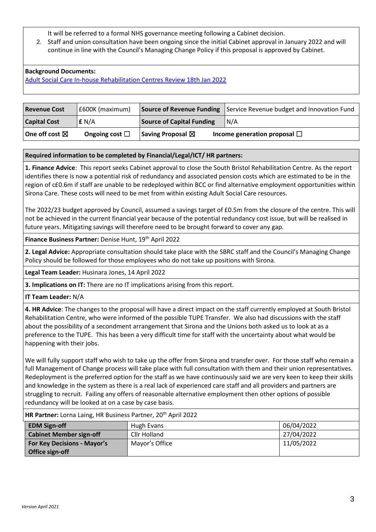It will be referred to a formal NHS governance meeting following a Cabinet decision.

2. Staff and union consultation have been ongoing since the initial Cabinet approval in January 2022 and will continue in line with the Council's Managing Change Policy if this proposal is approved by Cabinet.

# **Background Documents:**

[Adult Social Care In-house Rehabilitation Centres Review 18th Jan 2022](https://bristolintranet.moderngov.co.uk/ieDecisionDetails.aspx?ID=1256)

| <b>Revenue Cost</b>      | E600K (maximum)        |                                  | <b>Source of Revenue Funding</b> Service Revenue budget and Innovation Fund |
|--------------------------|------------------------|----------------------------------|-----------------------------------------------------------------------------|
| <b>Capital Cost</b>      | f N/A                  | <b>Source of Capital Funding</b> | IN/A                                                                        |
| One off cost $\boxtimes$ | Ongoing cost $\square$ | Saving Proposal $\boxtimes$      | Income generation proposal $\Box$                                           |

### **Required information to be completed by Financial/Legal/ICT/ HR partners:**

**1. Finance Advice**: This report seeks Cabinet approval to close the South Bristol Rehabilitation Centre. As the report identifies there is now a potential risk of redundancy and associated pension costs which are estimated to be in the region of c£0.6m if staff are unable to be redeployed within BCC or find alternative employment opportunities within Sirona Care. These costs will need to be met from within existing Adult Social Care resources.

The 2022/23 budget approved by Council, assumed a savings target of £0.5m from the closure of the centre. This will not be achieved in the current financial year because of the potential redundancy cost issue, but will be realised in future years. Mitigating savings will therefore need to be brought forward to cover any gap.

### Finance Business Partner: Denise Hunt, 19<sup>th</sup> April 2022

**2. Legal Advice:** Appropriate consultation should take place with the SBRC staff and the Council's Managing Change Policy should be followed for those employees who do not take up positions with Sirona.

**Legal Team Leader:** Husinara Jones, 14 April 2022

**3. Implications on IT:** There are no IT implications arising from this report.

**IT Team Leader:** N/A

**4. HR Advice**: The changes to the proposal will have a direct impact on the staff currently employed at South Bristol Rehabilitation Centre, who were informed of the possible TUPE Transfer. We also had discussions with the staff about the possibility of a secondment arrangement that Sirona and the Unions both asked us to look at as a preference to the TUPE. This has been a very difficult time for staff with the uncertainty about what would be happening with their jobs.

We will fully support staff who wish to take up the offer from Sirona and transfer over. For those staff who remain a full Management of Change process will take place with full consultation with them and their union representatives. Redeployment is the preferred option for the staff as we have continuously said we are very keen to keep their skills and knowledge in the system as there is a real lack of experienced care staff and all providers and partners are struggling to recruit. Failing any offers of reasonable alternative employment then other options of possible redundancy will be looked at on a case by case basis.

| $1.11111$ we write the compact of the boom to so that the $1.11111$ compact that the set of the set of the set of the set of the set of the set of the set of the set of the set of the set of the set of the set of the set |                |            |  |  |  |
|------------------------------------------------------------------------------------------------------------------------------------------------------------------------------------------------------------------------------|----------------|------------|--|--|--|
| <b>EDM Sign-off</b>                                                                                                                                                                                                          | Hugh Evans     | 06/04/2022 |  |  |  |
| <b>Cabinet Member sign-off</b>                                                                                                                                                                                               | Cllr Holland   | 27/04/2022 |  |  |  |
| <b>For Key Decisions - Mayor's</b>                                                                                                                                                                                           | Mayor's Office | 11/05/2022 |  |  |  |
| Office sign-off                                                                                                                                                                                                              |                |            |  |  |  |

**HR Partner:** Lorna Laing, HR Business Partner, 20<sup>th</sup> April 2022